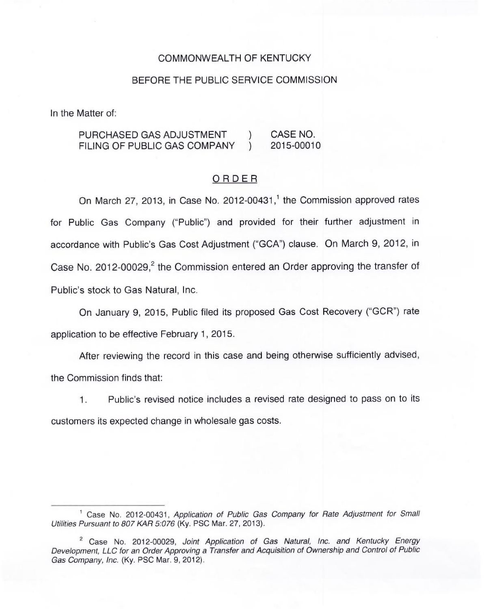### COMMONWEALTH OF KENTUCKY

#### BEFORE THE PUBLIC SERVICE COMMISSION

In the Matter of:

# PURCHASED GAS ADJUSTMENT ) CASE NO.<br>FILING OF PUBLIC GAS COMPANY ) 2015-00010 FILING OF PUBLIC GAS COMPANY

#### ORDER

On March 27, 2013, in Case No. 2012-00431,<sup>1</sup> the Commission approved rates for Public Gas Company ("Public") and provided for their further adjustment in accordance with Public's Gas Cost Adjustment ("GCA") clause. On March 9, 2012, in Case No. 2012-00029, $^2$  the Commission entered an Order approving the transfer of Public's stock to Gas Natural, Inc.

On January 9, 2015, Public filed its proposed Gas Cost Recovery ("GCR") rate application to be effective February 1, 2015.

After reviewing the record in this case and being otherwise sufficiently advised, the Commission finds that:

1. Public's revised notice includes a revised rate designed to pass on to its customers its expected change in wholesale gas costs.

<sup>&</sup>lt;sup>1</sup> Case No. 2012-00431, Application of Public Gas Company for Rate Adjustment for Small Utilities Pursuant to 807 KAR 5:076 (Ky. PSC Mar. 27, 2013).

<sup>&</sup>lt;sup>2</sup> Case No. 2012-00029, Joint Application of Gas Natural, Inc. and Kentucky Energy Development, LLC for an Order Approving a Transfer and Acquisition of Ownership and Control of Public Gas Company, Inc. (Ky. PSC Mar. 9, 2012).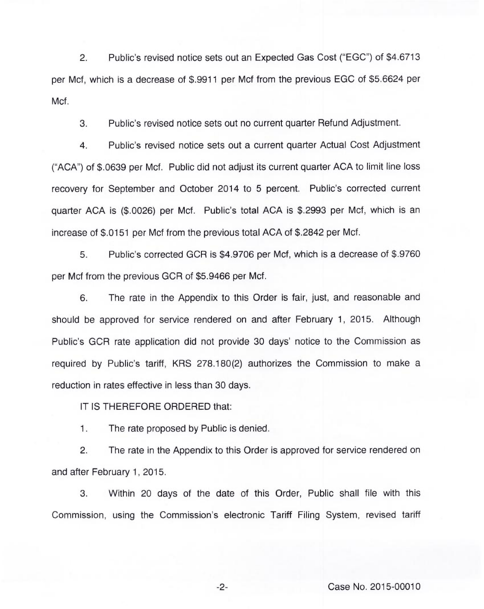2. Public's revised notice sets out an Expected Gas Cost ("EGC") of \$4.6713 per Mcf, which is a decrease of \$.9911 per Mcf from the previous EGC of \$5.6624 per Mcf.

3. Public's revised notice sets out no current quarter Refund Adjustment.

4. Public's revised notice sets out a current quarter Actual Cost Adjustment ("ACA") of \$.0639 per Mcf. Public did not adjust its current quarter ACA to limit line loss recovery for September and October 2014 to 5 percent. Public's corrected current quarter ACA is (\$.0026) per Mcf. Public's total ACA is \$.2993 per Mcf, which is an increase of \$.0151 per Mcf from the previous total ACA of \$.2842 per Mcf.

5. Public's corrected GCR is \$4.9706 per Mcf, which is a decrease of \$.9760 per Mcf from the previous GCR of \$5.9466 per Mcf.

6. The rate in the Appendix to this Order is fair, just, and reasonable and should be approved for service rendered on and after February 1, 2015. Although Public's GCR rate application did not provide 30 days' notice to the Commission as required by Public's tariff, KRS 278.180(2) authorizes the Commission to make a reduction in rates effective in less than 30 days.

IT IS THEREFORE ORDERED that:

1. The rate proposed by Public is denied.

2. The rate in the Appendix to this Order is approved for service rendered on and after February 1, 2015.

3. Within 20 days of the date of this Order, Public shall file with this Commission, using the Commission's electronic Tariff Filing System, revised tariff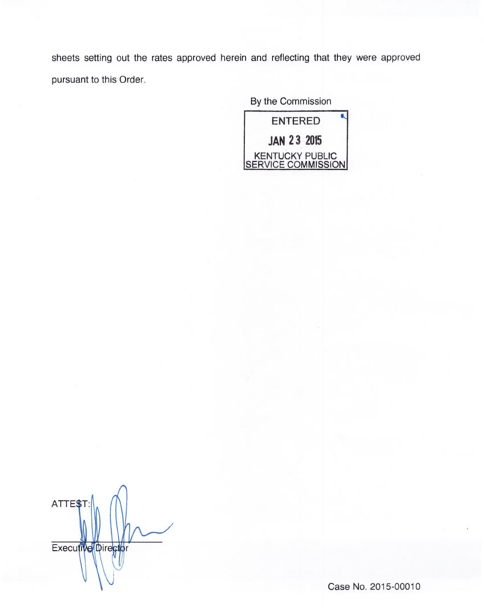sheets setting out the rates approved herein and reflecting that they were approved pursuant to this Order.

By the Commission



ATTE\$T Executive Director

Case No. 2015-00010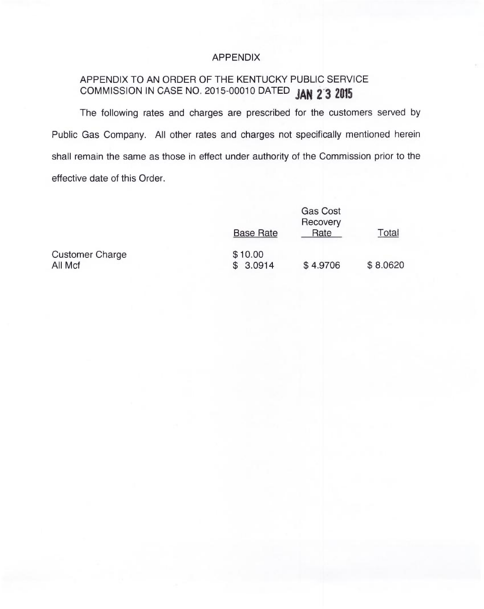## APPENDIX

# APPENDIX TO AN ORDER OF THE KENTUCKY PUBLIC SERVICE COMMISSION IN CASE NO. 2015-00010 DATED JAN 2 3 2015

The following rates and charges are prescribed for the customers served by Public Gas Company. All other rates and charges not specifically mentioned herein shall remain the same as those in effect under authority of the Commission prior to the effective date of this Order.

|                        | <b>Base Rate</b> | <b>Gas Cost</b><br>Recovery<br>Rate | Total    |
|------------------------|------------------|-------------------------------------|----------|
| <b>Customer Charge</b> | \$10.00          |                                     |          |
| All Mcf                | \$3.0914         | \$4.9706                            | \$8.0620 |